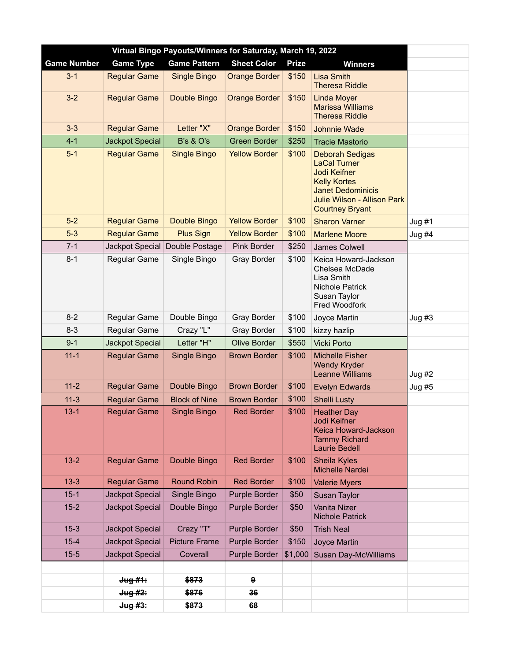| Virtual Bingo Payouts/Winners for Saturday, March 19, 2022 |                        |                      |                      |              |                                                                                                                                                                           |          |  |
|------------------------------------------------------------|------------------------|----------------------|----------------------|--------------|---------------------------------------------------------------------------------------------------------------------------------------------------------------------------|----------|--|
| <b>Game Number</b>                                         | <b>Game Type</b>       | <b>Game Pattern</b>  | <b>Sheet Color</b>   | <b>Prize</b> | <b>Winners</b>                                                                                                                                                            |          |  |
| $3 - 1$                                                    | <b>Regular Game</b>    | <b>Single Bingo</b>  | <b>Orange Border</b> | \$150        | <b>Lisa Smith</b><br><b>Theresa Riddle</b>                                                                                                                                |          |  |
| $3-2$                                                      | <b>Regular Game</b>    | Double Bingo         | <b>Orange Border</b> | \$150        | <b>Linda Moyer</b><br><b>Marissa Williams</b><br><b>Theresa Riddle</b>                                                                                                    |          |  |
| $3 - 3$                                                    | <b>Regular Game</b>    | Letter "X"           | <b>Orange Border</b> | \$150        | Johnnie Wade                                                                                                                                                              |          |  |
| $4 - 1$                                                    | <b>Jackpot Special</b> | <b>B's &amp; O's</b> | <b>Green Border</b>  | \$250        | <b>Tracie Mastorio</b>                                                                                                                                                    |          |  |
| $5-1$                                                      | <b>Regular Game</b>    | <b>Single Bingo</b>  | <b>Yellow Border</b> | \$100        | <b>Deborah Sedigas</b><br><b>LaCal Turner</b><br>Jodi Keifner<br><b>Kelly Kortes</b><br><b>Janet Dedominicis</b><br>Julie Wilson - Allison Park<br><b>Courtney Bryant</b> |          |  |
| $5-2$                                                      | <b>Regular Game</b>    | Double Bingo         | <b>Yellow Border</b> | \$100        | <b>Sharon Varner</b>                                                                                                                                                      | Jug#1    |  |
| $5-3$                                                      | <b>Regular Game</b>    | <b>Plus Sign</b>     | <b>Yellow Border</b> | \$100        | <b>Marlene Moore</b>                                                                                                                                                      | $Jug$ #4 |  |
| $7 - 1$                                                    | Jackpot Special        | Double Postage       | <b>Pink Border</b>   | \$250        | James Colwell                                                                                                                                                             |          |  |
| $8 - 1$                                                    | Regular Game           | Single Bingo         | Gray Border          | \$100        | Keica Howard-Jackson<br>Chelsea McDade<br>Lisa Smith<br><b>Nichole Patrick</b><br>Susan Taylor<br>Fred Woodfork                                                           |          |  |
| $8 - 2$                                                    | Regular Game           | Double Bingo         | <b>Gray Border</b>   | \$100        | Joyce Martin                                                                                                                                                              | $Jug$ #3 |  |
| $8 - 3$                                                    | Regular Game           | Crazy "L"            | <b>Gray Border</b>   | \$100        | kizzy hazlip                                                                                                                                                              |          |  |
| $9 - 1$                                                    | Jackpot Special        | Letter "H"           | <b>Olive Border</b>  | \$550        | Vicki Porto                                                                                                                                                               |          |  |
| $11 - 1$                                                   | <b>Regular Game</b>    | Single Bingo         | <b>Brown Border</b>  | \$100        | <b>Michelle Fisher</b><br><b>Wendy Kryder</b><br><b>Leanne Williams</b>                                                                                                   | Jug $#2$ |  |
| $11 - 2$                                                   | <b>Regular Game</b>    | Double Bingo         | <b>Brown Border</b>  | \$100        | <b>Evelyn Edwards</b>                                                                                                                                                     | $Jug$ #5 |  |
| $11-3$                                                     | <b>Regular Game</b>    | <b>Block of Nine</b> | <b>Brown Border</b>  | \$100        | <b>Shelli Lusty</b>                                                                                                                                                       |          |  |
| $13 - 1$                                                   | <b>Regular Game</b>    | Single Bingo         | <b>Red Border</b>    | \$100        | <b>Heather Day</b><br>Jodi Keifner<br>Keica Howard-Jackson<br><b>Tammy Richard</b><br><b>Laurie Bedell</b>                                                                |          |  |
| $13 - 2$                                                   | <b>Regular Game</b>    | Double Bingo         | <b>Red Border</b>    | \$100        | <b>Sheila Kyles</b><br>Michelle Nardei                                                                                                                                    |          |  |
| $13 - 3$                                                   | <b>Regular Game</b>    | <b>Round Robin</b>   | <b>Red Border</b>    | \$100        | <b>Valerie Myers</b>                                                                                                                                                      |          |  |
| $15 - 1$                                                   | Jackpot Special        | Single Bingo         | Purple Border        | \$50         | Susan Taylor                                                                                                                                                              |          |  |
| $15 - 2$                                                   | Jackpot Special        | Double Bingo         | <b>Purple Border</b> | \$50         | Vanita Nizer<br><b>Nichole Patrick</b>                                                                                                                                    |          |  |
| $15-3$                                                     | Jackpot Special        | Crazy "T"            | Purple Border        | \$50         | <b>Trish Neal</b>                                                                                                                                                         |          |  |
| $15 - 4$                                                   | Jackpot Special        | <b>Picture Frame</b> | Purple Border        | \$150        | Joyce Martin                                                                                                                                                              |          |  |
| $15 - 5$                                                   | Jackpot Special        | Coverall             | Purple Border        | \$1,000      | Susan Day-McWilliams                                                                                                                                                      |          |  |
|                                                            |                        |                      |                      |              |                                                                                                                                                                           |          |  |
|                                                            | Jug #1:                | \$873                | 9                    |              |                                                                                                                                                                           |          |  |
|                                                            | Jug #2:                | \$876                | 36                   |              |                                                                                                                                                                           |          |  |
|                                                            | Jug #3:                | \$873                | 68                   |              |                                                                                                                                                                           |          |  |